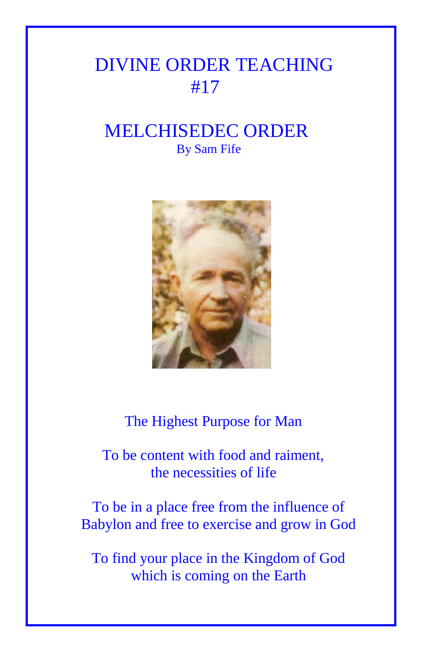## DIVINE ORDER TEACHING #17

## MELCHISEDEC ORDER By Sam Fife



The Highest Purpose for Man

 To be content with food and raiment, the necessities of life

To be in a place free from the influence of Babylon and free to exercise and grow in God

To find your place in the Kingdom of God which is coming on the Earth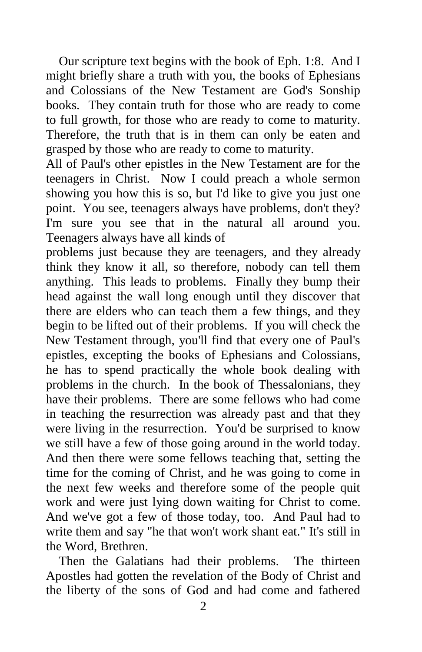Our scripture text begins with the book of Eph. 1:8. And I might briefly share a truth with you, the books of Ephesians and Colossians of the New Testament are God's Sonship books. They contain truth for those who are ready to come to full growth, for those who are ready to come to maturity. Therefore, the truth that is in them can only be eaten and grasped by those who are ready to come to maturity.

All of Paul's other epistles in the New Testament are for the teenagers in Christ. Now I could preach a whole sermon showing you how this is so, but I'd like to give you just one point. You see, teenagers always have problems, don't they? I'm sure you see that in the natural all around you. Teenagers always have all kinds of

problems just because they are teenagers, and they already think they know it all, so therefore, nobody can tell them anything. This leads to problems. Finally they bump their head against the wall long enough until they discover that there are elders who can teach them a few things, and they begin to be lifted out of their problems. If you will check the New Testament through, you'll find that every one of Paul's epistles, excepting the books of Ephesians and Colossians, he has to spend practically the whole book dealing with problems in the church. In the book of Thessalonians, they have their problems. There are some fellows who had come in teaching the resurrection was already past and that they were living in the resurrection. You'd be surprised to know we still have a few of those going around in the world today. And then there were some fellows teaching that, setting the time for the coming of Christ, and he was going to come in the next few weeks and therefore some of the people quit work and were just lying down waiting for Christ to come. And we've got a few of those today, too. And Paul had to write them and say "he that won't work shant eat." It's still in the Word, Brethren.

 Then the Galatians had their problems. The thirteen Apostles had gotten the revelation of the Body of Christ and the liberty of the sons of God and had come and fathered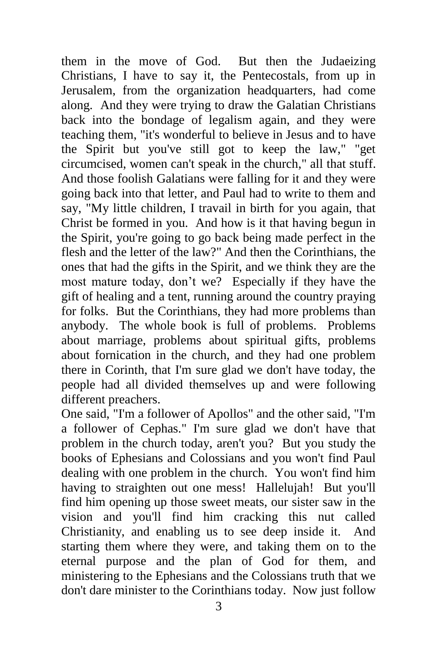them in the move of God. But then the Judaeizing Christians, I have to say it, the Pentecostals, from up in Jerusalem, from the organization headquarters, had come along. And they were trying to draw the Galatian Christians back into the bondage of legalism again, and they were teaching them, "it's wonderful to believe in Jesus and to have the Spirit but you've still got to keep the law," "get circumcised, women can't speak in the church," all that stuff. And those foolish Galatians were falling for it and they were going back into that letter, and Paul had to write to them and say, "My little children, I travail in birth for you again, that Christ be formed in you. And how is it that having begun in the Spirit, you're going to go back being made perfect in the flesh and the letter of the law?" And then the Corinthians, the ones that had the gifts in the Spirit, and we think they are the most mature today, don't we? Especially if they have the gift of healing and a tent, running around the country praying for folks. But the Corinthians, they had more problems than anybody. The whole book is full of problems. Problems about marriage, problems about spiritual gifts, problems about fornication in the church, and they had one problem there in Corinth, that I'm sure glad we don't have today, the people had all divided themselves up and were following different preachers.

One said, "I'm a follower of Apollos" and the other said, "I'm a follower of Cephas." I'm sure glad we don't have that problem in the church today, aren't you? But you study the books of Ephesians and Colossians and you won't find Paul dealing with one problem in the church. You won't find him having to straighten out one mess! Hallelujah! But you'll find him opening up those sweet meats, our sister saw in the vision and you'll find him cracking this nut called Christianity, and enabling us to see deep inside it. And starting them where they were, and taking them on to the eternal purpose and the plan of God for them, and ministering to the Ephesians and the Colossians truth that we don't dare minister to the Corinthians today. Now just follow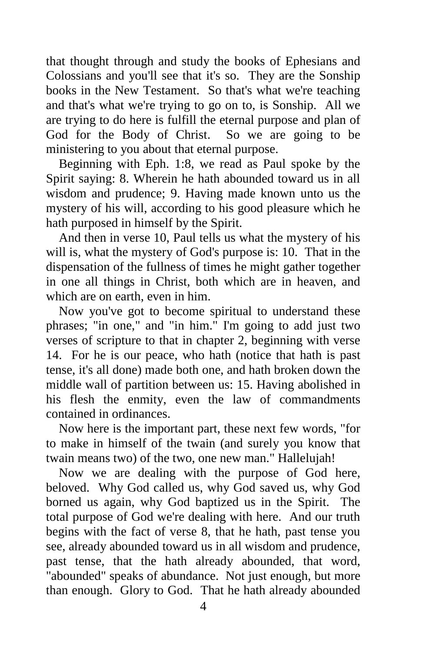that thought through and study the books of Ephesians and Colossians and you'll see that it's so. They are the Sonship books in the New Testament. So that's what we're teaching and that's what we're trying to go on to, is Sonship. All we are trying to do here is fulfill the eternal purpose and plan of God for the Body of Christ. So we are going to be ministering to you about that eternal purpose.

 Beginning with Eph. 1:8, we read as Paul spoke by the Spirit saying: 8. Wherein he hath abounded toward us in all wisdom and prudence; 9. Having made known unto us the mystery of his will, according to his good pleasure which he hath purposed in himself by the Spirit.

 And then in verse 10, Paul tells us what the mystery of his will is, what the mystery of God's purpose is: 10. That in the dispensation of the fullness of times he might gather together in one all things in Christ, both which are in heaven, and which are on earth, even in him.

 Now you've got to become spiritual to understand these phrases; "in one," and "in him." I'm going to add just two verses of scripture to that in chapter 2, beginning with verse 14. For he is our peace, who hath (notice that hath is past tense, it's all done) made both one, and hath broken down the middle wall of partition between us: 15. Having abolished in his flesh the enmity, even the law of commandments contained in ordinances.

 Now here is the important part, these next few words, "for to make in himself of the twain (and surely you know that twain means two) of the two, one new man." Hallelujah!

 Now we are dealing with the purpose of God here, beloved. Why God called us, why God saved us, why God borned us again, why God baptized us in the Spirit. The total purpose of God we're dealing with here. And our truth begins with the fact of verse 8, that he hath, past tense you see, already abounded toward us in all wisdom and prudence, past tense, that the hath already abounded, that word, "abounded" speaks of abundance. Not just enough, but more than enough. Glory to God. That he hath already abounded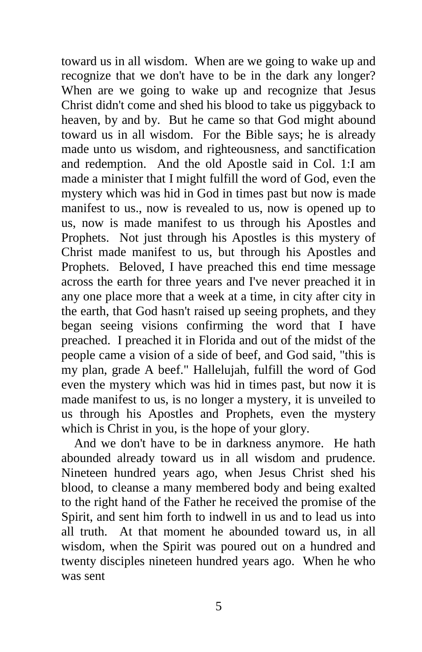toward us in all wisdom. When are we going to wake up and recognize that we don't have to be in the dark any longer? When are we going to wake up and recognize that Jesus Christ didn't come and shed his blood to take us piggyback to heaven, by and by. But he came so that God might abound toward us in all wisdom. For the Bible says; he is already made unto us wisdom, and righteousness, and sanctification and redemption. And the old Apostle said in Col. 1:I am made a minister that I might fulfill the word of God, even the mystery which was hid in God in times past but now is made manifest to us., now is revealed to us, now is opened up to us, now is made manifest to us through his Apostles and Prophets. Not just through his Apostles is this mystery of Christ made manifest to us, but through his Apostles and Prophets. Beloved, I have preached this end time message across the earth for three years and I've never preached it in any one place more that a week at a time, in city after city in the earth, that God hasn't raised up seeing prophets, and they began seeing visions confirming the word that I have preached. I preached it in Florida and out of the midst of the people came a vision of a side of beef, and God said, "this is my plan, grade A beef." Hallelujah, fulfill the word of God even the mystery which was hid in times past, but now it is made manifest to us, is no longer a mystery, it is unveiled to us through his Apostles and Prophets, even the mystery which is Christ in you, is the hope of your glory.

 And we don't have to be in darkness anymore. He hath abounded already toward us in all wisdom and prudence. Nineteen hundred years ago, when Jesus Christ shed his blood, to cleanse a many membered body and being exalted to the right hand of the Father he received the promise of the Spirit, and sent him forth to indwell in us and to lead us into all truth. At that moment he abounded toward us, in all wisdom, when the Spirit was poured out on a hundred and twenty disciples nineteen hundred years ago. When he who was sent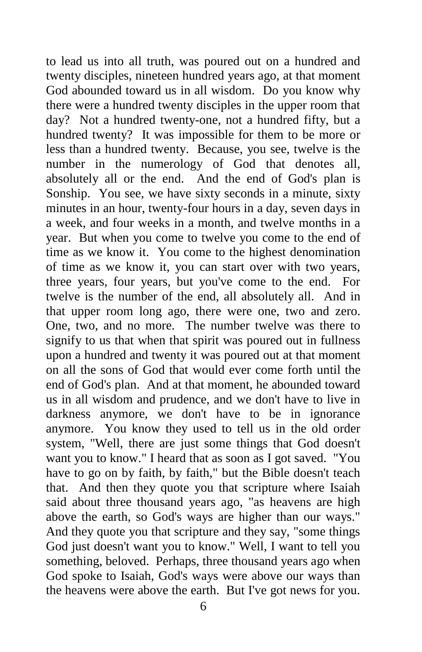to lead us into all truth, was poured out on a hundred and twenty disciples, nineteen hundred years ago, at that moment God abounded toward us in all wisdom. Do you know why there were a hundred twenty disciples in the upper room that day? Not a hundred twenty-one, not a hundred fifty, but a hundred twenty? It was impossible for them to be more or less than a hundred twenty. Because, you see, twelve is the number in the numerology of God that denotes all, absolutely all or the end. And the end of God's plan is Sonship. You see, we have sixty seconds in a minute, sixty minutes in an hour, twenty-four hours in a day, seven days in a week, and four weeks in a month, and twelve months in a year. But when you come to twelve you come to the end of time as we know it. You come to the highest denomination of time as we know it, you can start over with two years, three years, four years, but you've come to the end. For twelve is the number of the end, all absolutely all. And in that upper room long ago, there were one, two and zero. One, two, and no more. The number twelve was there to signify to us that when that spirit was poured out in fullness upon a hundred and twenty it was poured out at that moment on all the sons of God that would ever come forth until the end of God's plan. And at that moment, he abounded toward us in all wisdom and prudence, and we don't have to live in darkness anymore, we don't have to be in ignorance anymore. You know they used to tell us in the old order system, "Well, there are just some things that God doesn't want you to know." I heard that as soon as I got saved. "You have to go on by faith, by faith," but the Bible doesn't teach that. And then they quote you that scripture where Isaiah said about three thousand years ago, "as heavens are high above the earth, so God's ways are higher than our ways." And they quote you that scripture and they say, "some things God just doesn't want you to know." Well, I want to tell you something, beloved. Perhaps, three thousand years ago when God spoke to Isaiah, God's ways were above our ways than the heavens were above the earth. But I've got news for you.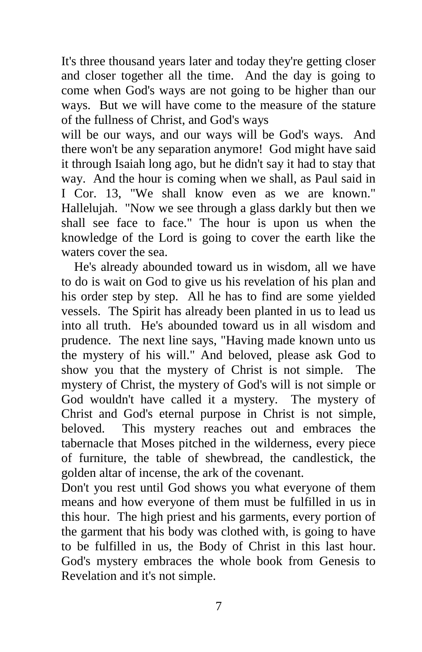It's three thousand years later and today they're getting closer and closer together all the time. And the day is going to come when God's ways are not going to be higher than our ways. But we will have come to the measure of the stature of the fullness of Christ, and God's ways

will be our ways, and our ways will be God's ways. And there won't be any separation anymore! God might have said it through Isaiah long ago, but he didn't say it had to stay that way. And the hour is coming when we shall, as Paul said in I Cor. 13, "We shall know even as we are known." Hallelujah. "Now we see through a glass darkly but then we shall see face to face." The hour is upon us when the knowledge of the Lord is going to cover the earth like the waters cover the sea.

 He's already abounded toward us in wisdom, all we have to do is wait on God to give us his revelation of his plan and his order step by step. All he has to find are some yielded vessels. The Spirit has already been planted in us to lead us into all truth. He's abounded toward us in all wisdom and prudence. The next line says, "Having made known unto us the mystery of his will." And beloved, please ask God to show you that the mystery of Christ is not simple. The mystery of Christ, the mystery of God's will is not simple or God wouldn't have called it a mystery. The mystery of Christ and God's eternal purpose in Christ is not simple, beloved. This mystery reaches out and embraces the tabernacle that Moses pitched in the wilderness, every piece of furniture, the table of shewbread, the candlestick, the golden altar of incense, the ark of the covenant.

Don't you rest until God shows you what everyone of them means and how everyone of them must be fulfilled in us in this hour. The high priest and his garments, every portion of the garment that his body was clothed with, is going to have to be fulfilled in us, the Body of Christ in this last hour. God's mystery embraces the whole book from Genesis to Revelation and it's not simple.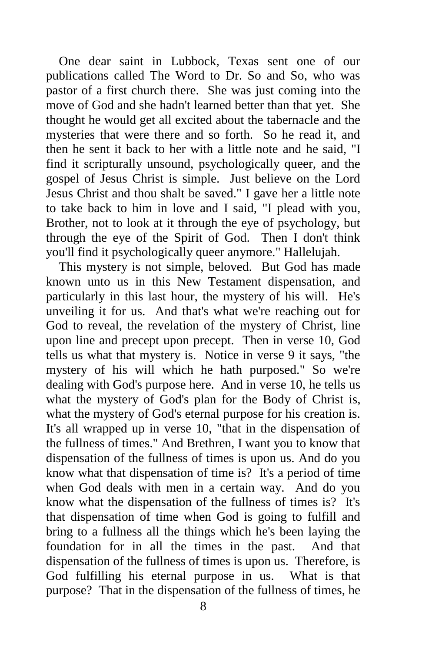One dear saint in Lubbock, Texas sent one of our publications called The Word to Dr. So and So, who was pastor of a first church there. She was just coming into the move of God and she hadn't learned better than that yet. She thought he would get all excited about the tabernacle and the mysteries that were there and so forth. So he read it, and then he sent it back to her with a little note and he said, "I find it scripturally unsound, psychologically queer, and the gospel of Jesus Christ is simple. Just believe on the Lord Jesus Christ and thou shalt be saved." I gave her a little note to take back to him in love and I said, "I plead with you, Brother, not to look at it through the eye of psychology, but through the eye of the Spirit of God. Then I don't think you'll find it psychologically queer anymore." Hallelujah.

 This mystery is not simple, beloved. But God has made known unto us in this New Testament dispensation, and particularly in this last hour, the mystery of his will. He's unveiling it for us. And that's what we're reaching out for God to reveal, the revelation of the mystery of Christ, line upon line and precept upon precept. Then in verse 10, God tells us what that mystery is. Notice in verse 9 it says, "the mystery of his will which he hath purposed." So we're dealing with God's purpose here. And in verse 10, he tells us what the mystery of God's plan for the Body of Christ is, what the mystery of God's eternal purpose for his creation is. It's all wrapped up in verse 10, "that in the dispensation of the fullness of times." And Brethren, I want you to know that dispensation of the fullness of times is upon us. And do you know what that dispensation of time is? It's a period of time when God deals with men in a certain way. And do you know what the dispensation of the fullness of times is? It's that dispensation of time when God is going to fulfill and bring to a fullness all the things which he's been laying the foundation for in all the times in the past. And that dispensation of the fullness of times is upon us. Therefore, is God fulfilling his eternal purpose in us. What is that purpose? That in the dispensation of the fullness of times, he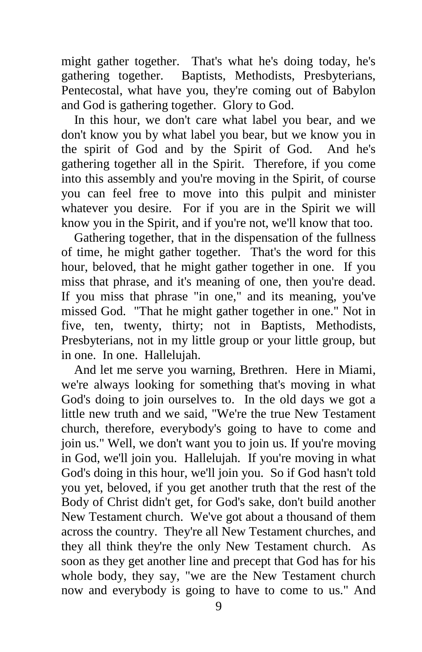might gather together. That's what he's doing today, he's gathering together. Baptists, Methodists, Presbyterians, Pentecostal, what have you, they're coming out of Babylon and God is gathering together. Glory to God.

 In this hour, we don't care what label you bear, and we don't know you by what label you bear, but we know you in the spirit of God and by the Spirit of God. And he's gathering together all in the Spirit. Therefore, if you come into this assembly and you're moving in the Spirit, of course you can feel free to move into this pulpit and minister whatever you desire. For if you are in the Spirit we will know you in the Spirit, and if you're not, we'll know that too.

 Gathering together, that in the dispensation of the fullness of time, he might gather together. That's the word for this hour, beloved, that he might gather together in one. If you miss that phrase, and it's meaning of one, then you're dead. If you miss that phrase "in one," and its meaning, you've missed God. "That he might gather together in one." Not in five, ten, twenty, thirty; not in Baptists, Methodists, Presbyterians, not in my little group or your little group, but in one. In one. Hallelujah.

 And let me serve you warning, Brethren. Here in Miami, we're always looking for something that's moving in what God's doing to join ourselves to. In the old days we got a little new truth and we said, "We're the true New Testament church, therefore, everybody's going to have to come and join us." Well, we don't want you to join us. If you're moving in God, we'll join you. Hallelujah. If you're moving in what God's doing in this hour, we'll join you. So if God hasn't told you yet, beloved, if you get another truth that the rest of the Body of Christ didn't get, for God's sake, don't build another New Testament church. We've got about a thousand of them across the country. They're all New Testament churches, and they all think they're the only New Testament church. As soon as they get another line and precept that God has for his whole body, they say, "we are the New Testament church now and everybody is going to have to come to us." And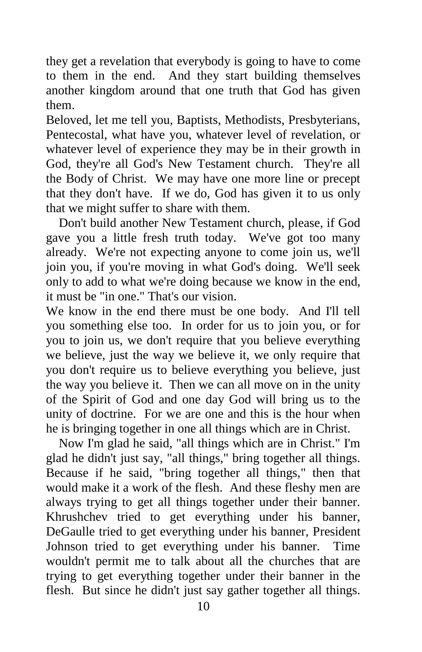they get a revelation that everybody is going to have to come to them in the end. And they start building themselves another kingdom around that one truth that God has given them.

Beloved, let me tell you, Baptists, Methodists, Presbyterians, Pentecostal, what have you, whatever level of revelation, or whatever level of experience they may be in their growth in God, they're all God's New Testament church. They're all the Body of Christ. We may have one more line or precept that they don't have. If we do, God has given it to us only that we might suffer to share with them.

 Don't build another New Testament church, please, if God gave you a little fresh truth today. We've got too many already. We're not expecting anyone to come join us, we'll join you, if you're moving in what God's doing. We'll seek only to add to what we're doing because we know in the end, it must be "in one." That's our vision.

We know in the end there must be one body. And I'll tell you something else too. In order for us to join you, or for you to join us, we don't require that you believe everything we believe, just the way we believe it, we only require that you don't require us to believe everything you believe, just the way you believe it. Then we can all move on in the unity of the Spirit of God and one day God will bring us to the unity of doctrine. For we are one and this is the hour when he is bringing together in one all things which are in Christ.

 Now I'm glad he said, "all things which are in Christ." I'm glad he didn't just say, "all things," bring together all things. Because if he said, "bring together all things," then that would make it a work of the flesh. And these fleshy men are always trying to get all things together under their banner. Khrushchev tried to get everything under his banner, DeGaulle tried to get everything under his banner, President Johnson tried to get everything under his banner. Time wouldn't permit me to talk about all the churches that are trying to get everything together under their banner in the flesh. But since he didn't just say gather together all things.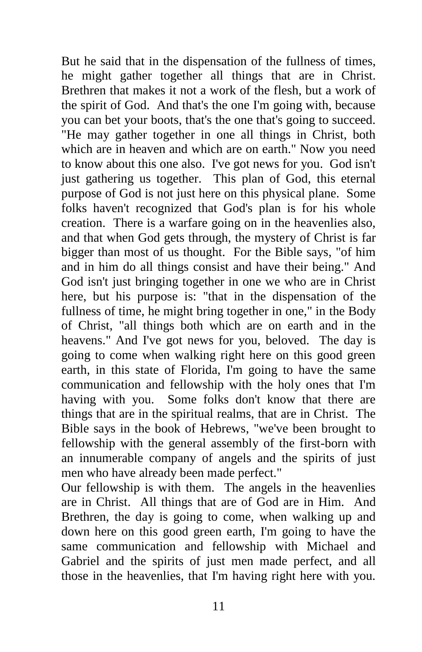But he said that in the dispensation of the fullness of times, he might gather together all things that are in Christ. Brethren that makes it not a work of the flesh, but a work of the spirit of God. And that's the one I'm going with, because you can bet your boots, that's the one that's going to succeed. "He may gather together in one all things in Christ, both which are in heaven and which are on earth." Now you need to know about this one also. I've got news for you. God isn't just gathering us together. This plan of God, this eternal purpose of God is not just here on this physical plane. Some folks haven't recognized that God's plan is for his whole creation. There is a warfare going on in the heavenlies also, and that when God gets through, the mystery of Christ is far bigger than most of us thought. For the Bible says, "of him and in him do all things consist and have their being." And God isn't just bringing together in one we who are in Christ here, but his purpose is: "that in the dispensation of the fullness of time, he might bring together in one," in the Body of Christ, "all things both which are on earth and in the heavens." And I've got news for you, beloved. The day is going to come when walking right here on this good green earth, in this state of Florida, I'm going to have the same communication and fellowship with the holy ones that I'm having with you. Some folks don't know that there are things that are in the spiritual realms, that are in Christ. The Bible says in the book of Hebrews, "we've been brought to fellowship with the general assembly of the first-born with an innumerable company of angels and the spirits of just men who have already been made perfect."

Our fellowship is with them. The angels in the heavenlies are in Christ. All things that are of God are in Him. And Brethren, the day is going to come, when walking up and down here on this good green earth, I'm going to have the same communication and fellowship with Michael and Gabriel and the spirits of just men made perfect, and all those in the heavenlies, that I'm having right here with you.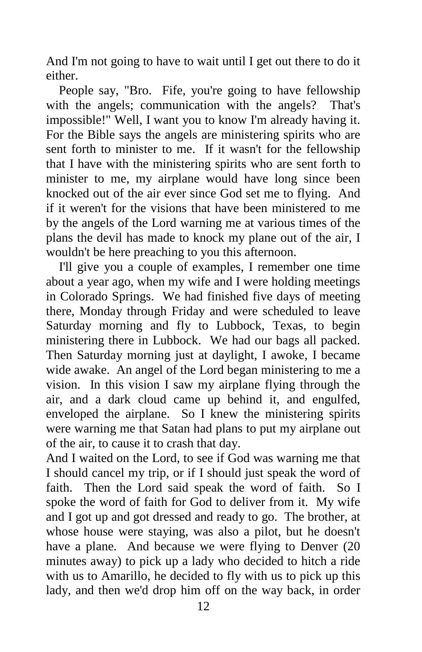And I'm not going to have to wait until I get out there to do it either.

People say, "Bro. Fife, you're going to have fellowship with the angels; communication with the angels? That's impossible!" Well, I want you to know I'm already having it. For the Bible says the angels are ministering spirits who are sent forth to minister to me. If it wasn't for the fellowship that I have with the ministering spirits who are sent forth to minister to me, my airplane would have long since been knocked out of the air ever since God set me to flying. And if it weren't for the visions that have been ministered to me by the angels of the Lord warning me at various times of the plans the devil has made to knock my plane out of the air, I wouldn't be here preaching to you this afternoon.

 I'll give you a couple of examples, I remember one time about a year ago, when my wife and I were holding meetings in Colorado Springs. We had finished five days of meeting there, Monday through Friday and were scheduled to leave Saturday morning and fly to Lubbock, Texas, to begin ministering there in Lubbock. We had our bags all packed. Then Saturday morning just at daylight, I awoke, I became wide awake. An angel of the Lord began ministering to me a vision. In this vision I saw my airplane flying through the air, and a dark cloud came up behind it, and engulfed, enveloped the airplane. So I knew the ministering spirits were warning me that Satan had plans to put my airplane out of the air, to cause it to crash that day.

And I waited on the Lord, to see if God was warning me that I should cancel my trip, or if I should just speak the word of faith. Then the Lord said speak the word of faith. So I spoke the word of faith for God to deliver from it. My wife and I got up and got dressed and ready to go. The brother, at whose house were staying, was also a pilot, but he doesn't have a plane. And because we were flying to Denver (20 minutes away) to pick up a lady who decided to hitch a ride with us to Amarillo, he decided to fly with us to pick up this lady, and then we'd drop him off on the way back, in order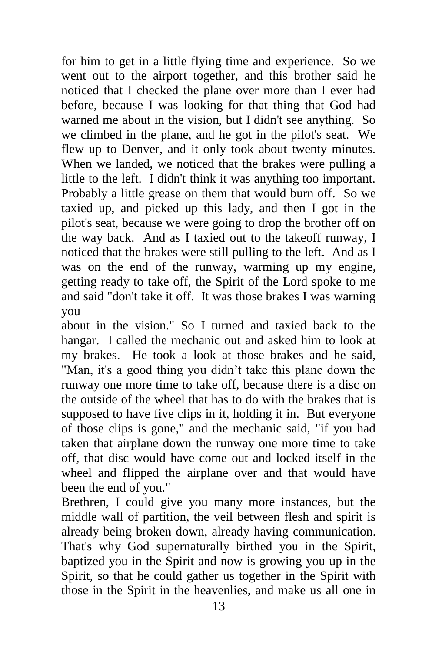for him to get in a little flying time and experience. So we went out to the airport together, and this brother said he noticed that I checked the plane over more than I ever had before, because I was looking for that thing that God had warned me about in the vision, but I didn't see anything. So we climbed in the plane, and he got in the pilot's seat. We flew up to Denver, and it only took about twenty minutes. When we landed, we noticed that the brakes were pulling a little to the left. I didn't think it was anything too important. Probably a little grease on them that would burn off. So we taxied up, and picked up this lady, and then I got in the pilot's seat, because we were going to drop the brother off on the way back. And as I taxied out to the takeoff runway, I noticed that the brakes were still pulling to the left. And as I was on the end of the runway, warming up my engine, getting ready to take off, the Spirit of the Lord spoke to me and said "don't take it off. It was those brakes I was warning you

about in the vision." So I turned and taxied back to the hangar. I called the mechanic out and asked him to look at my brakes. He took a look at those brakes and he said, "Man, it's a good thing you didn't take this plane down the runway one more time to take off, because there is a disc on the outside of the wheel that has to do with the brakes that is supposed to have five clips in it, holding it in. But everyone of those clips is gone," and the mechanic said, "if you had taken that airplane down the runway one more time to take off, that disc would have come out and locked itself in the wheel and flipped the airplane over and that would have been the end of you."

Brethren, I could give you many more instances, but the middle wall of partition, the veil between flesh and spirit is already being broken down, already having communication. That's why God supernaturally birthed you in the Spirit, baptized you in the Spirit and now is growing you up in the Spirit, so that he could gather us together in the Spirit with those in the Spirit in the heavenlies, and make us all one in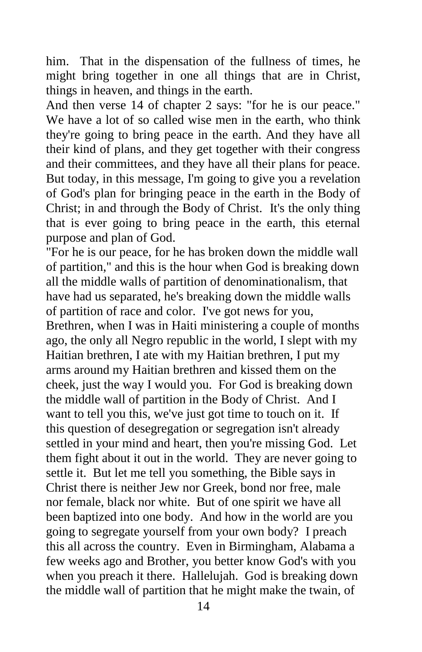him. That in the dispensation of the fullness of times, he might bring together in one all things that are in Christ, things in heaven, and things in the earth.

And then verse 14 of chapter 2 says: "for he is our peace." We have a lot of so called wise men in the earth, who think they're going to bring peace in the earth. And they have all their kind of plans, and they get together with their congress and their committees, and they have all their plans for peace. But today, in this message, I'm going to give you a revelation of God's plan for bringing peace in the earth in the Body of Christ; in and through the Body of Christ. It's the only thing that is ever going to bring peace in the earth, this eternal purpose and plan of God.

"For he is our peace, for he has broken down the middle wall of partition," and this is the hour when God is breaking down all the middle walls of partition of denominationalism, that have had us separated, he's breaking down the middle walls of partition of race and color. I've got news for you, Brethren, when I was in Haiti ministering a couple of months ago, the only all Negro republic in the world, I slept with my Haitian brethren, I ate with my Haitian brethren, I put my arms around my Haitian brethren and kissed them on the cheek, just the way I would you. For God is breaking down the middle wall of partition in the Body of Christ. And I want to tell you this, we've just got time to touch on it. If this question of desegregation or segregation isn't already settled in your mind and heart, then you're missing God. Let them fight about it out in the world. They are never going to settle it. But let me tell you something, the Bible says in Christ there is neither Jew nor Greek, bond nor free, male nor female, black nor white. But of one spirit we have all been baptized into one body. And how in the world are you going to segregate yourself from your own body? I preach this all across the country. Even in Birmingham, Alabama a few weeks ago and Brother, you better know God's with you when you preach it there. Hallelujah. God is breaking down the middle wall of partition that he might make the twain, of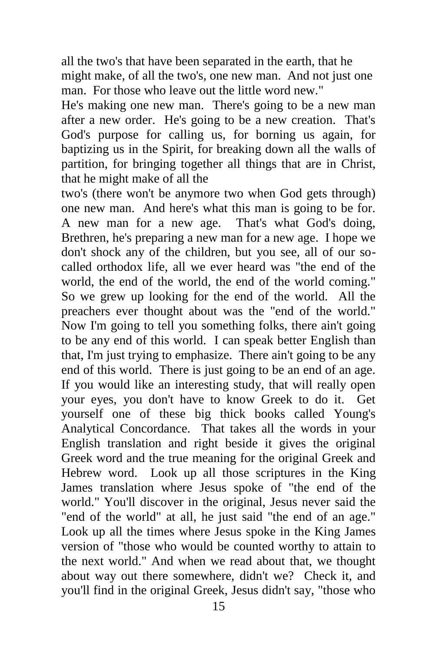all the two's that have been separated in the earth, that he might make, of all the two's, one new man. And not just one man. For those who leave out the little word new."

He's making one new man. There's going to be a new man after a new order. He's going to be a new creation. That's God's purpose for calling us, for borning us again, for baptizing us in the Spirit, for breaking down all the walls of partition, for bringing together all things that are in Christ, that he might make of all the

two's (there won't be anymore two when God gets through) one new man. And here's what this man is going to be for. A new man for a new age. That's what God's doing, Brethren, he's preparing a new man for a new age. I hope we don't shock any of the children, but you see, all of our socalled orthodox life, all we ever heard was "the end of the world, the end of the world, the end of the world coming." So we grew up looking for the end of the world. All the preachers ever thought about was the "end of the world." Now I'm going to tell you something folks, there ain't going to be any end of this world. I can speak better English than that, I'm just trying to emphasize. There ain't going to be any end of this world. There is just going to be an end of an age. If you would like an interesting study, that will really open your eyes, you don't have to know Greek to do it. Get yourself one of these big thick books called Young's Analytical Concordance. That takes all the words in your English translation and right beside it gives the original Greek word and the true meaning for the original Greek and Hebrew word. Look up all those scriptures in the King James translation where Jesus spoke of "the end of the world." You'll discover in the original, Jesus never said the "end of the world" at all, he just said "the end of an age." Look up all the times where Jesus spoke in the King James version of "those who would be counted worthy to attain to the next world." And when we read about that, we thought about way out there somewhere, didn't we? Check it, and you'll find in the original Greek, Jesus didn't say, "those who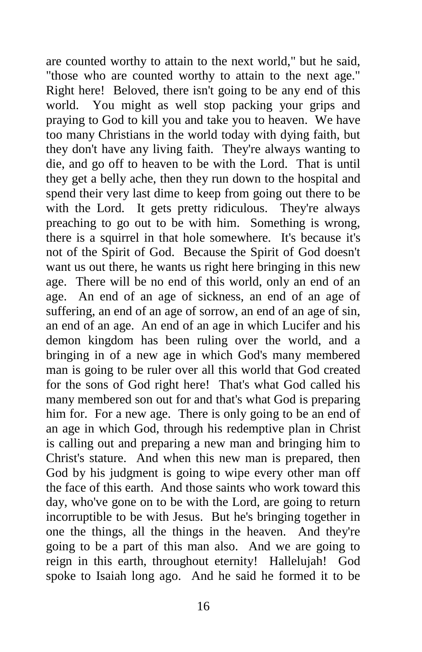are counted worthy to attain to the next world," but he said, "those who are counted worthy to attain to the next age." Right here! Beloved, there isn't going to be any end of this world. You might as well stop packing your grips and praying to God to kill you and take you to heaven. We have too many Christians in the world today with dying faith, but they don't have any living faith. They're always wanting to die, and go off to heaven to be with the Lord. That is until they get a belly ache, then they run down to the hospital and spend their very last dime to keep from going out there to be with the Lord. It gets pretty ridiculous. They're always preaching to go out to be with him. Something is wrong, there is a squirrel in that hole somewhere. It's because it's not of the Spirit of God. Because the Spirit of God doesn't want us out there, he wants us right here bringing in this new age. There will be no end of this world, only an end of an age. An end of an age of sickness, an end of an age of suffering, an end of an age of sorrow, an end of an age of sin, an end of an age. An end of an age in which Lucifer and his demon kingdom has been ruling over the world, and a bringing in of a new age in which God's many membered man is going to be ruler over all this world that God created for the sons of God right here! That's what God called his many membered son out for and that's what God is preparing him for. For a new age. There is only going to be an end of an age in which God, through his redemptive plan in Christ is calling out and preparing a new man and bringing him to Christ's stature. And when this new man is prepared, then God by his judgment is going to wipe every other man off the face of this earth. And those saints who work toward this day, who've gone on to be with the Lord, are going to return incorruptible to be with Jesus. But he's bringing together in one the things, all the things in the heaven. And they're going to be a part of this man also. And we are going to reign in this earth, throughout eternity! Hallelujah! God spoke to Isaiah long ago. And he said he formed it to be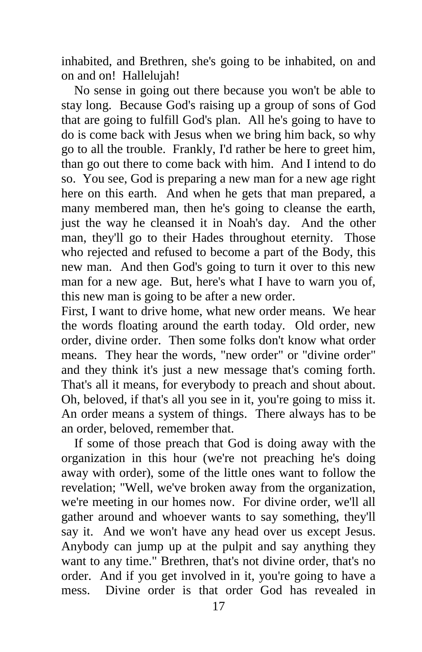inhabited, and Brethren, she's going to be inhabited, on and on and on! Hallelujah!

 No sense in going out there because you won't be able to stay long. Because God's raising up a group of sons of God that are going to fulfill God's plan. All he's going to have to do is come back with Jesus when we bring him back, so why go to all the trouble. Frankly, I'd rather be here to greet him, than go out there to come back with him. And I intend to do so. You see, God is preparing a new man for a new age right here on this earth. And when he gets that man prepared, a many membered man, then he's going to cleanse the earth, just the way he cleansed it in Noah's day. And the other man, they'll go to their Hades throughout eternity. Those who rejected and refused to become a part of the Body, this new man. And then God's going to turn it over to this new man for a new age. But, here's what I have to warn you of, this new man is going to be after a new order.

First, I want to drive home, what new order means. We hear the words floating around the earth today. Old order, new order, divine order. Then some folks don't know what order means. They hear the words, "new order" or "divine order" and they think it's just a new message that's coming forth. That's all it means, for everybody to preach and shout about. Oh, beloved, if that's all you see in it, you're going to miss it. An order means a system of things. There always has to be an order, beloved, remember that.

 If some of those preach that God is doing away with the organization in this hour (we're not preaching he's doing away with order), some of the little ones want to follow the revelation; "Well, we've broken away from the organization, we're meeting in our homes now. For divine order, we'll all gather around and whoever wants to say something, they'll say it. And we won't have any head over us except Jesus. Anybody can jump up at the pulpit and say anything they want to any time." Brethren, that's not divine order, that's no order. And if you get involved in it, you're going to have a mess. Divine order is that order God has revealed in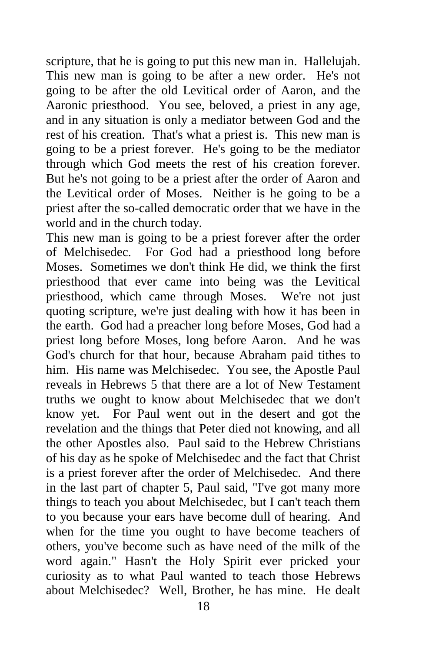scripture, that he is going to put this new man in. Hallelujah. This new man is going to be after a new order. He's not going to be after the old Levitical order of Aaron, and the Aaronic priesthood. You see, beloved, a priest in any age, and in any situation is only a mediator between God and the rest of his creation. That's what a priest is. This new man is going to be a priest forever. He's going to be the mediator through which God meets the rest of his creation forever. But he's not going to be a priest after the order of Aaron and the Levitical order of Moses. Neither is he going to be a priest after the so-called democratic order that we have in the world and in the church today.

This new man is going to be a priest forever after the order of Melchisedec. For God had a priesthood long before Moses. Sometimes we don't think He did, we think the first priesthood that ever came into being was the Levitical priesthood, which came through Moses. We're not just quoting scripture, we're just dealing with how it has been in the earth. God had a preacher long before Moses, God had a priest long before Moses, long before Aaron. And he was God's church for that hour, because Abraham paid tithes to him. His name was Melchisedec. You see, the Apostle Paul reveals in Hebrews 5 that there are a lot of New Testament truths we ought to know about Melchisedec that we don't know yet. For Paul went out in the desert and got the revelation and the things that Peter died not knowing, and all the other Apostles also. Paul said to the Hebrew Christians of his day as he spoke of Melchisedec and the fact that Christ is a priest forever after the order of Melchisedec. And there in the last part of chapter 5, Paul said, "I've got many more things to teach you about Melchisedec, but I can't teach them to you because your ears have become dull of hearing. And when for the time you ought to have become teachers of others, you've become such as have need of the milk of the word again." Hasn't the Holy Spirit ever pricked your curiosity as to what Paul wanted to teach those Hebrews about Melchisedec? Well, Brother, he has mine. He dealt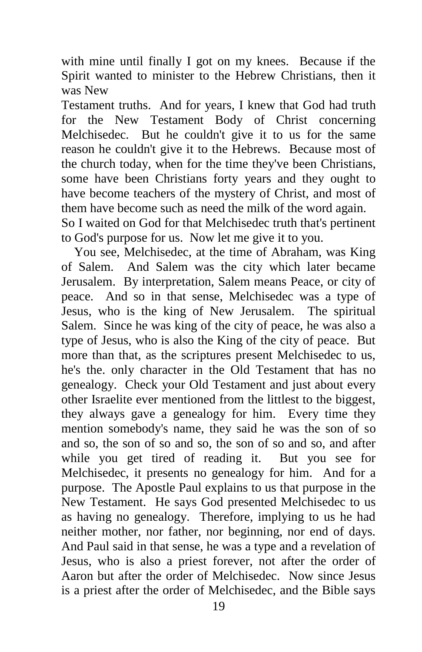with mine until finally I got on my knees. Because if the Spirit wanted to minister to the Hebrew Christians, then it was New

Testament truths. And for years, I knew that God had truth for the New Testament Body of Christ concerning Melchisedec. But he couldn't give it to us for the same reason he couldn't give it to the Hebrews. Because most of the church today, when for the time they've been Christians, some have been Christians forty years and they ought to have become teachers of the mystery of Christ, and most of them have become such as need the milk of the word again. So I waited on God for that Melchisedec truth that's pertinent to God's purpose for us. Now let me give it to you.

 You see, Melchisedec, at the time of Abraham, was King of Salem. And Salem was the city which later became Jerusalem. By interpretation, Salem means Peace, or city of peace. And so in that sense, Melchisedec was a type of Jesus, who is the king of New Jerusalem. The spiritual Salem. Since he was king of the city of peace, he was also a type of Jesus, who is also the King of the city of peace. But more than that, as the scriptures present Melchisedec to us, he's the. only character in the Old Testament that has no genealogy. Check your Old Testament and just about every other Israelite ever mentioned from the littlest to the biggest, they always gave a genealogy for him. Every time they mention somebody's name, they said he was the son of so and so, the son of so and so, the son of so and so, and after while you get tired of reading it. But you see for Melchisedec, it presents no genealogy for him. And for a purpose. The Apostle Paul explains to us that purpose in the New Testament. He says God presented Melchisedec to us as having no genealogy. Therefore, implying to us he had neither mother, nor father, nor beginning, nor end of days. And Paul said in that sense, he was a type and a revelation of Jesus, who is also a priest forever, not after the order of Aaron but after the order of Melchisedec. Now since Jesus is a priest after the order of Melchisedec, and the Bible says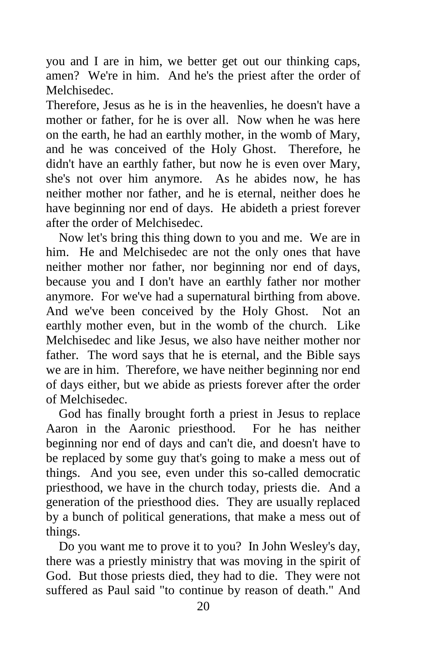you and I are in him, we better get out our thinking caps, amen? We're in him. And he's the priest after the order of Melchisedec.

Therefore, Jesus as he is in the heavenlies, he doesn't have a mother or father, for he is over all. Now when he was here on the earth, he had an earthly mother, in the womb of Mary, and he was conceived of the Holy Ghost. Therefore, he didn't have an earthly father, but now he is even over Mary, she's not over him anymore. As he abides now, he has neither mother nor father, and he is eternal, neither does he have beginning nor end of days. He abideth a priest forever after the order of Melchisedec.

 Now let's bring this thing down to you and me. We are in him. He and Melchisedec are not the only ones that have neither mother nor father, nor beginning nor end of days, because you and I don't have an earthly father nor mother anymore. For we've had a supernatural birthing from above. And we've been conceived by the Holy Ghost. Not an earthly mother even, but in the womb of the church. Like Melchisedec and like Jesus, we also have neither mother nor father. The word says that he is eternal, and the Bible says we are in him. Therefore, we have neither beginning nor end of days either, but we abide as priests forever after the order of Melchisedec.

 God has finally brought forth a priest in Jesus to replace Aaron in the Aaronic priesthood. For he has neither beginning nor end of days and can't die, and doesn't have to be replaced by some guy that's going to make a mess out of things. And you see, even under this so-called democratic priesthood, we have in the church today, priests die. And a generation of the priesthood dies. They are usually replaced by a bunch of political generations, that make a mess out of things.

 Do you want me to prove it to you? In John Wesley's day, there was a priestly ministry that was moving in the spirit of God. But those priests died, they had to die. They were not suffered as Paul said "to continue by reason of death." And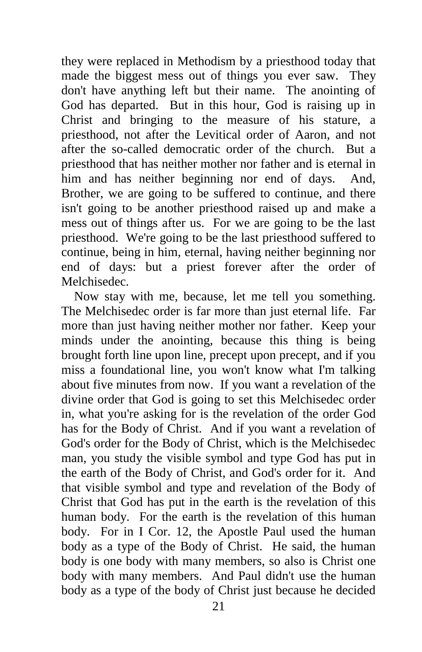they were replaced in Methodism by a priesthood today that made the biggest mess out of things you ever saw. They don't have anything left but their name. The anointing of God has departed. But in this hour, God is raising up in Christ and bringing to the measure of his stature, a priesthood, not after the Levitical order of Aaron, and not after the so-called democratic order of the church. But a priesthood that has neither mother nor father and is eternal in him and has neither beginning nor end of days. And, Brother, we are going to be suffered to continue, and there isn't going to be another priesthood raised up and make a mess out of things after us. For we are going to be the last priesthood. We're going to be the last priesthood suffered to continue, being in him, eternal, having neither beginning nor end of days: but a priest forever after the order of Melchisedec.

 Now stay with me, because, let me tell you something. The Melchisedec order is far more than just eternal life. Far more than just having neither mother nor father. Keep your minds under the anointing, because this thing is being brought forth line upon line, precept upon precept, and if you miss a foundational line, you won't know what I'm talking about five minutes from now. If you want a revelation of the divine order that God is going to set this Melchisedec order in, what you're asking for is the revelation of the order God has for the Body of Christ. And if you want a revelation of God's order for the Body of Christ, which is the Melchisedec man, you study the visible symbol and type God has put in the earth of the Body of Christ, and God's order for it. And that visible symbol and type and revelation of the Body of Christ that God has put in the earth is the revelation of this human body. For the earth is the revelation of this human body. For in I Cor. 12, the Apostle Paul used the human body as a type of the Body of Christ. He said, the human body is one body with many members, so also is Christ one body with many members. And Paul didn't use the human body as a type of the body of Christ just because he decided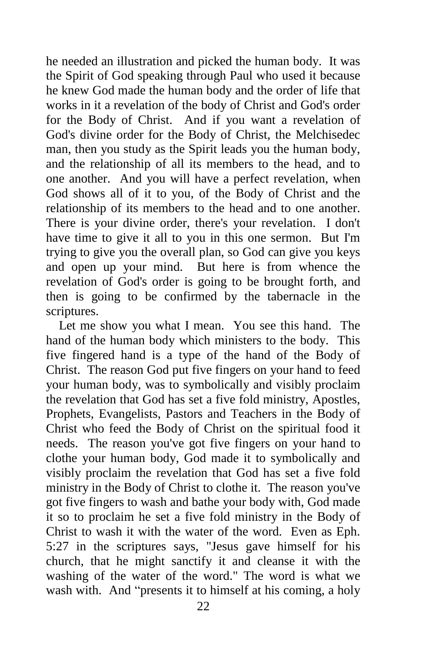he needed an illustration and picked the human body. It was the Spirit of God speaking through Paul who used it because he knew God made the human body and the order of life that works in it a revelation of the body of Christ and God's order for the Body of Christ. And if you want a revelation of God's divine order for the Body of Christ, the Melchisedec man, then you study as the Spirit leads you the human body, and the relationship of all its members to the head, and to one another. And you will have a perfect revelation, when God shows all of it to you, of the Body of Christ and the relationship of its members to the head and to one another. There is your divine order, there's your revelation. I don't have time to give it all to you in this one sermon. But I'm trying to give you the overall plan, so God can give you keys and open up your mind. But here is from whence the revelation of God's order is going to be brought forth, and then is going to be confirmed by the tabernacle in the scriptures.

 Let me show you what I mean. You see this hand. The hand of the human body which ministers to the body. This five fingered hand is a type of the hand of the Body of Christ. The reason God put five fingers on your hand to feed your human body, was to symbolically and visibly proclaim the revelation that God has set a five fold ministry, Apostles, Prophets, Evangelists, Pastors and Teachers in the Body of Christ who feed the Body of Christ on the spiritual food it needs. The reason you've got five fingers on your hand to clothe your human body, God made it to symbolically and visibly proclaim the revelation that God has set a five fold ministry in the Body of Christ to clothe it. The reason you've got five fingers to wash and bathe your body with, God made it so to proclaim he set a five fold ministry in the Body of Christ to wash it with the water of the word. Even as Eph. 5:27 in the scriptures says, "Jesus gave himself for his church, that he might sanctify it and cleanse it with the washing of the water of the word." The word is what we wash with. And "presents it to himself at his coming, a holy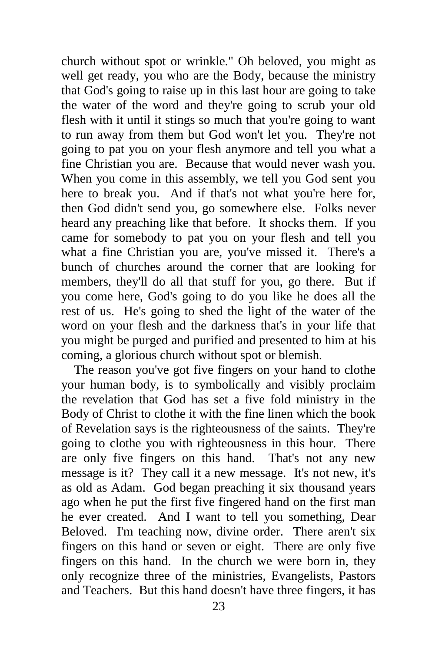church without spot or wrinkle." Oh beloved, you might as well get ready, you who are the Body, because the ministry that God's going to raise up in this last hour are going to take the water of the word and they're going to scrub your old flesh with it until it stings so much that you're going to want to run away from them but God won't let you. They're not going to pat you on your flesh anymore and tell you what a fine Christian you are. Because that would never wash you. When you come in this assembly, we tell you God sent you here to break you. And if that's not what you're here for, then God didn't send you, go somewhere else. Folks never heard any preaching like that before. It shocks them. If you came for somebody to pat you on your flesh and tell you what a fine Christian you are, you've missed it. There's a bunch of churches around the corner that are looking for members, they'll do all that stuff for you, go there. But if you come here, God's going to do you like he does all the rest of us. He's going to shed the light of the water of the word on your flesh and the darkness that's in your life that you might be purged and purified and presented to him at his coming, a glorious church without spot or blemish.

 The reason you've got five fingers on your hand to clothe your human body, is to symbolically and visibly proclaim the revelation that God has set a five fold ministry in the Body of Christ to clothe it with the fine linen which the book of Revelation says is the righteousness of the saints. They're going to clothe you with righteousness in this hour. There are only five fingers on this hand. That's not any new message is it? They call it a new message. It's not new, it's as old as Adam. God began preaching it six thousand years ago when he put the first five fingered hand on the first man he ever created. And I want to tell you something, Dear Beloved. I'm teaching now, divine order. There aren't six fingers on this hand or seven or eight. There are only five fingers on this hand. In the church we were born in, they only recognize three of the ministries, Evangelists, Pastors and Teachers. But this hand doesn't have three fingers, it has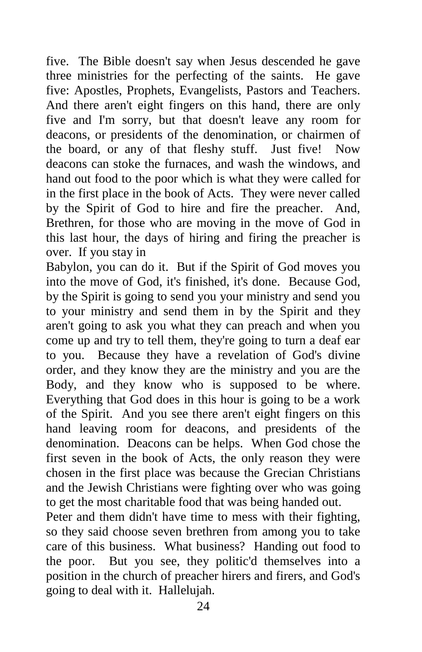five. The Bible doesn't say when Jesus descended he gave three ministries for the perfecting of the saints. He gave five: Apostles, Prophets, Evangelists, Pastors and Teachers. And there aren't eight fingers on this hand, there are only five and I'm sorry, but that doesn't leave any room for deacons, or presidents of the denomination, or chairmen of the board, or any of that fleshy stuff. Just five! Now deacons can stoke the furnaces, and wash the windows, and hand out food to the poor which is what they were called for in the first place in the book of Acts. They were never called by the Spirit of God to hire and fire the preacher. And, Brethren, for those who are moving in the move of God in this last hour, the days of hiring and firing the preacher is over. If you stay in

Babylon, you can do it. But if the Spirit of God moves you into the move of God, it's finished, it's done. Because God, by the Spirit is going to send you your ministry and send you to your ministry and send them in by the Spirit and they aren't going to ask you what they can preach and when you come up and try to tell them, they're going to turn a deaf ear to you. Because they have a revelation of God's divine order, and they know they are the ministry and you are the Body, and they know who is supposed to be where. Everything that God does in this hour is going to be a work of the Spirit. And you see there aren't eight fingers on this hand leaving room for deacons, and presidents of the denomination. Deacons can be helps. When God chose the first seven in the book of Acts, the only reason they were chosen in the first place was because the Grecian Christians and the Jewish Christians were fighting over who was going to get the most charitable food that was being handed out.

Peter and them didn't have time to mess with their fighting, so they said choose seven brethren from among you to take care of this business. What business? Handing out food to the poor. But you see, they politic'd themselves into a position in the church of preacher hirers and firers, and God's going to deal with it. Hallelujah.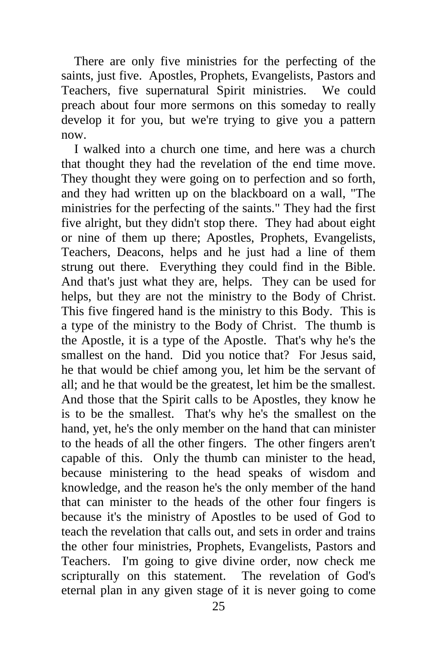There are only five ministries for the perfecting of the saints, just five. Apostles, Prophets, Evangelists, Pastors and Teachers, five supernatural Spirit ministries. We could preach about four more sermons on this someday to really develop it for you, but we're trying to give you a pattern now.

 I walked into a church one time, and here was a church that thought they had the revelation of the end time move. They thought they were going on to perfection and so forth, and they had written up on the blackboard on a wall, "The ministries for the perfecting of the saints." They had the first five alright, but they didn't stop there. They had about eight or nine of them up there; Apostles, Prophets, Evangelists, Teachers, Deacons, helps and he just had a line of them strung out there. Everything they could find in the Bible. And that's just what they are, helps. They can be used for helps, but they are not the ministry to the Body of Christ. This five fingered hand is the ministry to this Body. This is a type of the ministry to the Body of Christ. The thumb is the Apostle, it is a type of the Apostle. That's why he's the smallest on the hand. Did you notice that? For Jesus said, he that would be chief among you, let him be the servant of all; and he that would be the greatest, let him be the smallest. And those that the Spirit calls to be Apostles, they know he is to be the smallest. That's why he's the smallest on the hand, yet, he's the only member on the hand that can minister to the heads of all the other fingers. The other fingers aren't capable of this. Only the thumb can minister to the head, because ministering to the head speaks of wisdom and knowledge, and the reason he's the only member of the hand that can minister to the heads of the other four fingers is because it's the ministry of Apostles to be used of God to teach the revelation that calls out, and sets in order and trains the other four ministries, Prophets, Evangelists, Pastors and Teachers. I'm going to give divine order, now check me scripturally on this statement. The revelation of God's eternal plan in any given stage of it is never going to come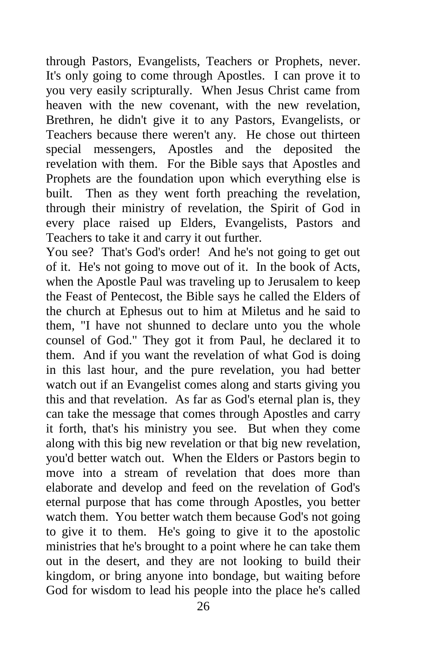through Pastors, Evangelists, Teachers or Prophets, never. It's only going to come through Apostles. I can prove it to you very easily scripturally. When Jesus Christ came from heaven with the new covenant, with the new revelation, Brethren, he didn't give it to any Pastors, Evangelists, or Teachers because there weren't any. He chose out thirteen special messengers, Apostles and the deposited the revelation with them. For the Bible says that Apostles and Prophets are the foundation upon which everything else is built. Then as they went forth preaching the revelation, through their ministry of revelation, the Spirit of God in every place raised up Elders, Evangelists, Pastors and Teachers to take it and carry it out further.

You see? That's God's order! And he's not going to get out of it. He's not going to move out of it. In the book of Acts, when the Apostle Paul was traveling up to Jerusalem to keep the Feast of Pentecost, the Bible says he called the Elders of the church at Ephesus out to him at Miletus and he said to them, "I have not shunned to declare unto you the whole counsel of God." They got it from Paul, he declared it to them. And if you want the revelation of what God is doing in this last hour, and the pure revelation, you had better watch out if an Evangelist comes along and starts giving you this and that revelation. As far as God's eternal plan is, they can take the message that comes through Apostles and carry it forth, that's his ministry you see. But when they come along with this big new revelation or that big new revelation, you'd better watch out. When the Elders or Pastors begin to move into a stream of revelation that does more than elaborate and develop and feed on the revelation of God's eternal purpose that has come through Apostles, you better watch them. You better watch them because God's not going to give it to them. He's going to give it to the apostolic ministries that he's brought to a point where he can take them out in the desert, and they are not looking to build their kingdom, or bring anyone into bondage, but waiting before God for wisdom to lead his people into the place he's called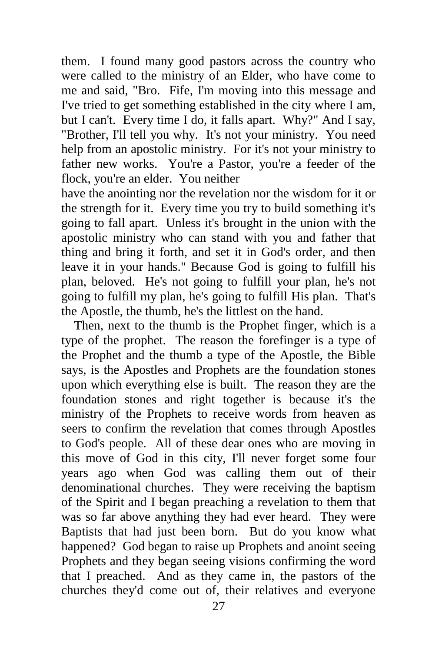them. I found many good pastors across the country who were called to the ministry of an Elder, who have come to me and said, "Bro. Fife, I'm moving into this message and I've tried to get something established in the city where I am, but I can't. Every time I do, it falls apart. Why?" And I say, "Brother, I'll tell you why. It's not your ministry. You need help from an apostolic ministry. For it's not your ministry to father new works. You're a Pastor, you're a feeder of the flock, you're an elder. You neither

have the anointing nor the revelation nor the wisdom for it or the strength for it. Every time you try to build something it's going to fall apart. Unless it's brought in the union with the apostolic ministry who can stand with you and father that thing and bring it forth, and set it in God's order, and then leave it in your hands." Because God is going to fulfill his plan, beloved. He's not going to fulfill your plan, he's not going to fulfill my plan, he's going to fulfill His plan. That's the Apostle, the thumb, he's the littlest on the hand.

 Then, next to the thumb is the Prophet finger, which is a type of the prophet. The reason the forefinger is a type of the Prophet and the thumb a type of the Apostle, the Bible says, is the Apostles and Prophets are the foundation stones upon which everything else is built. The reason they are the foundation stones and right together is because it's the ministry of the Prophets to receive words from heaven as seers to confirm the revelation that comes through Apostles to God's people. All of these dear ones who are moving in this move of God in this city, I'll never forget some four years ago when God was calling them out of their denominational churches. They were receiving the baptism of the Spirit and I began preaching a revelation to them that was so far above anything they had ever heard. They were Baptists that had just been born. But do you know what happened? God began to raise up Prophets and anoint seeing Prophets and they began seeing visions confirming the word that I preached. And as they came in, the pastors of the churches they'd come out of, their relatives and everyone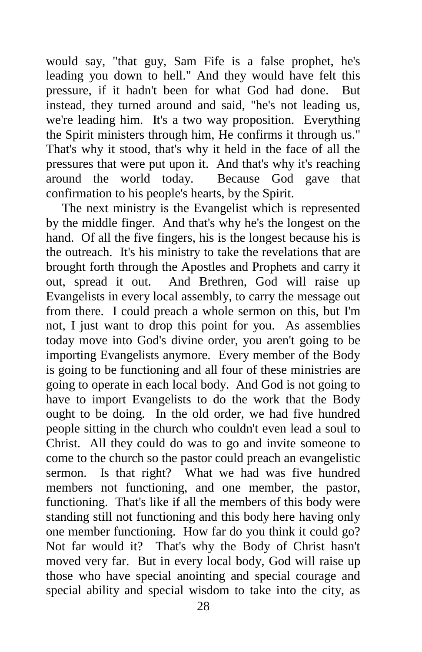would say, "that guy, Sam Fife is a false prophet, he's leading you down to hell." And they would have felt this pressure, if it hadn't been for what God had done. But instead, they turned around and said, "he's not leading us, we're leading him. It's a two way proposition. Everything the Spirit ministers through him, He confirms it through us." That's why it stood, that's why it held in the face of all the pressures that were put upon it. And that's why it's reaching around the world today. Because God gave that confirmation to his people's hearts, by the Spirit.

 The next ministry is the Evangelist which is represented by the middle finger. And that's why he's the longest on the hand. Of all the five fingers, his is the longest because his is the outreach. It's his ministry to take the revelations that are brought forth through the Apostles and Prophets and carry it out, spread it out. And Brethren, God will raise up Evangelists in every local assembly, to carry the message out from there. I could preach a whole sermon on this, but I'm not, I just want to drop this point for you. As assemblies today move into God's divine order, you aren't going to be importing Evangelists anymore. Every member of the Body is going to be functioning and all four of these ministries are going to operate in each local body. And God is not going to have to import Evangelists to do the work that the Body ought to be doing. In the old order, we had five hundred people sitting in the church who couldn't even lead a soul to Christ. All they could do was to go and invite someone to come to the church so the pastor could preach an evangelistic sermon. Is that right? What we had was five hundred members not functioning, and one member, the pastor, functioning. That's like if all the members of this body were standing still not functioning and this body here having only one member functioning. How far do you think it could go? Not far would it? That's why the Body of Christ hasn't moved very far. But in every local body, God will raise up those who have special anointing and special courage and special ability and special wisdom to take into the city, as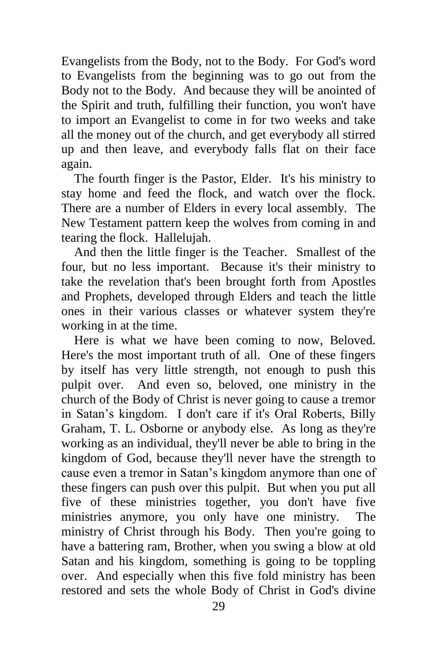Evangelists from the Body, not to the Body. For God's word to Evangelists from the beginning was to go out from the Body not to the Body. And because they will be anointed of the Spirit and truth, fulfilling their function, you won't have to import an Evangelist to come in for two weeks and take all the money out of the church, and get everybody all stirred up and then leave, and everybody falls flat on their face again.

 The fourth finger is the Pastor, Elder. It's his ministry to stay home and feed the flock, and watch over the flock. There are a number of Elders in every local assembly. The New Testament pattern keep the wolves from coming in and tearing the flock. Hallelujah.

 And then the little finger is the Teacher. Smallest of the four, but no less important. Because it's their ministry to take the revelation that's been brought forth from Apostles and Prophets, developed through Elders and teach the little ones in their various classes or whatever system they're working in at the time.

 Here is what we have been coming to now, Beloved. Here's the most important truth of all. One of these fingers by itself has very little strength, not enough to push this pulpit over. And even so, beloved, one ministry in the church of the Body of Christ is never going to cause a tremor in Satan's kingdom. I don't care if it's Oral Roberts, Billy Graham, T. L. Osborne or anybody else. As long as they're working as an individual, they'll never be able to bring in the kingdom of God, because they'll never have the strength to cause even a tremor in Satan's kingdom anymore than one of these fingers can push over this pulpit. But when you put all five of these ministries together, you don't have five ministries anymore, you only have one ministry. The ministry of Christ through his Body. Then you're going to have a battering ram, Brother, when you swing a blow at old Satan and his kingdom, something is going to be toppling over. And especially when this five fold ministry has been restored and sets the whole Body of Christ in God's divine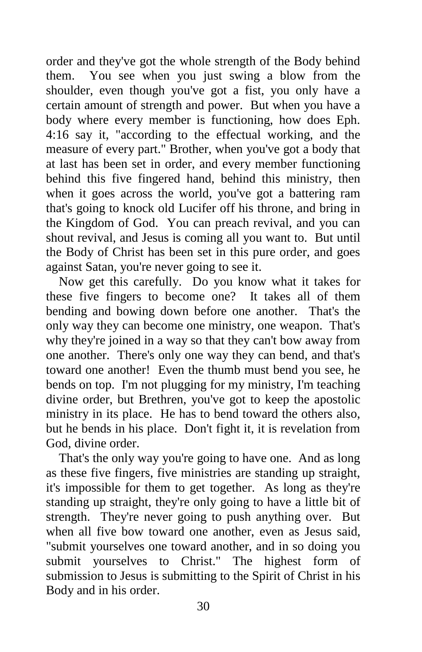order and they've got the whole strength of the Body behind them. You see when you just swing a blow from the shoulder, even though you've got a fist, you only have a certain amount of strength and power. But when you have a body where every member is functioning, how does Eph. 4:16 say it, "according to the effectual working, and the measure of every part." Brother, when you've got a body that at last has been set in order, and every member functioning behind this five fingered hand, behind this ministry, then when it goes across the world, you've got a battering ram that's going to knock old Lucifer off his throne, and bring in the Kingdom of God. You can preach revival, and you can shout revival, and Jesus is coming all you want to. But until the Body of Christ has been set in this pure order, and goes against Satan, you're never going to see it.

 Now get this carefully. Do you know what it takes for these five fingers to become one? It takes all of them bending and bowing down before one another. That's the only way they can become one ministry, one weapon. That's why they're joined in a way so that they can't bow away from one another. There's only one way they can bend, and that's toward one another! Even the thumb must bend you see, he bends on top. I'm not plugging for my ministry, I'm teaching divine order, but Brethren, you've got to keep the apostolic ministry in its place. He has to bend toward the others also, but he bends in his place. Don't fight it, it is revelation from God, divine order.

 That's the only way you're going to have one. And as long as these five fingers, five ministries are standing up straight, it's impossible for them to get together. As long as they're standing up straight, they're only going to have a little bit of strength. They're never going to push anything over. But when all five bow toward one another, even as Jesus said, "submit yourselves one toward another, and in so doing you submit yourselves to Christ." The highest form of submission to Jesus is submitting to the Spirit of Christ in his Body and in his order.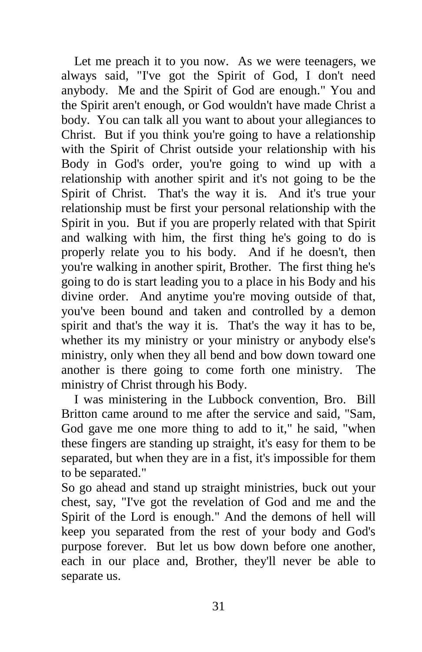Let me preach it to you now. As we were teenagers, we always said, "I've got the Spirit of God, I don't need anybody. Me and the Spirit of God are enough." You and the Spirit aren't enough, or God wouldn't have made Christ a body. You can talk all you want to about your allegiances to Christ. But if you think you're going to have a relationship with the Spirit of Christ outside your relationship with his Body in God's order, you're going to wind up with a relationship with another spirit and it's not going to be the Spirit of Christ. That's the way it is. And it's true your relationship must be first your personal relationship with the Spirit in you. But if you are properly related with that Spirit and walking with him, the first thing he's going to do is properly relate you to his body. And if he doesn't, then you're walking in another spirit, Brother. The first thing he's going to do is start leading you to a place in his Body and his divine order. And anytime you're moving outside of that, you've been bound and taken and controlled by a demon spirit and that's the way it is. That's the way it has to be, whether its my ministry or your ministry or anybody else's ministry, only when they all bend and bow down toward one another is there going to come forth one ministry. The ministry of Christ through his Body.

 I was ministering in the Lubbock convention, Bro. Bill Britton came around to me after the service and said, "Sam, God gave me one more thing to add to it," he said, "when these fingers are standing up straight, it's easy for them to be separated, but when they are in a fist, it's impossible for them to be separated."

So go ahead and stand up straight ministries, buck out your chest, say, "I've got the revelation of God and me and the Spirit of the Lord is enough." And the demons of hell will keep you separated from the rest of your body and God's purpose forever. But let us bow down before one another, each in our place and, Brother, they'll never be able to separate us.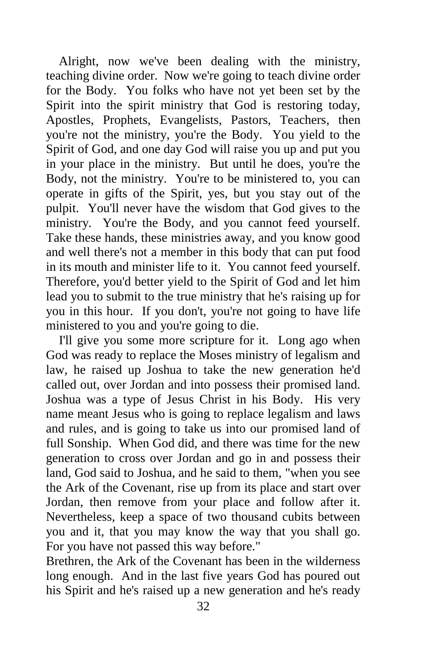Alright, now we've been dealing with the ministry, teaching divine order. Now we're going to teach divine order for the Body. You folks who have not yet been set by the Spirit into the spirit ministry that God is restoring today, Apostles, Prophets, Evangelists, Pastors, Teachers, then you're not the ministry, you're the Body. You yield to the Spirit of God, and one day God will raise you up and put you in your place in the ministry. But until he does, you're the Body, not the ministry. You're to be ministered to, you can operate in gifts of the Spirit, yes, but you stay out of the pulpit. You'll never have the wisdom that God gives to the ministry. You're the Body, and you cannot feed yourself. Take these hands, these ministries away, and you know good and well there's not a member in this body that can put food in its mouth and minister life to it. You cannot feed yourself. Therefore, you'd better yield to the Spirit of God and let him lead you to submit to the true ministry that he's raising up for you in this hour. If you don't, you're not going to have life ministered to you and you're going to die.

 I'll give you some more scripture for it. Long ago when God was ready to replace the Moses ministry of legalism and law, he raised up Joshua to take the new generation he'd called out, over Jordan and into possess their promised land. Joshua was a type of Jesus Christ in his Body. His very name meant Jesus who is going to replace legalism and laws and rules, and is going to take us into our promised land of full Sonship. When God did, and there was time for the new generation to cross over Jordan and go in and possess their land, God said to Joshua, and he said to them, "when you see the Ark of the Covenant, rise up from its place and start over Jordan, then remove from your place and follow after it. Nevertheless, keep a space of two thousand cubits between you and it, that you may know the way that you shall go. For you have not passed this way before."

Brethren, the Ark of the Covenant has been in the wilderness long enough. And in the last five years God has poured out his Spirit and he's raised up a new generation and he's ready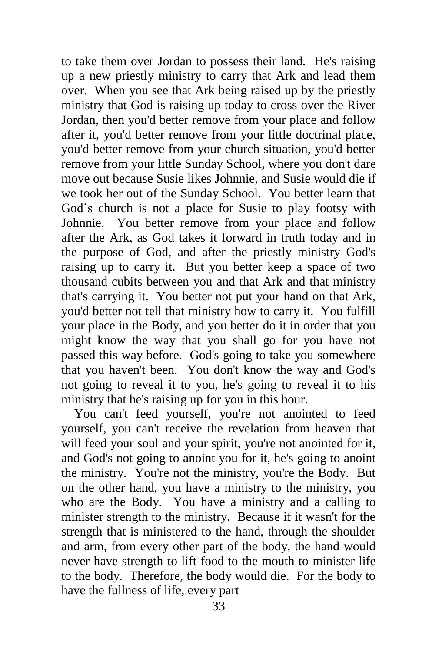to take them over Jordan to possess their land. He's raising up a new priestly ministry to carry that Ark and lead them over. When you see that Ark being raised up by the priestly ministry that God is raising up today to cross over the River Jordan, then you'd better remove from your place and follow after it, you'd better remove from your little doctrinal place, you'd better remove from your church situation, you'd better remove from your little Sunday School, where you don't dare move out because Susie likes Johnnie, and Susie would die if we took her out of the Sunday School. You better learn that God's church is not a place for Susie to play footsy with Johnnie. You better remove from your place and follow after the Ark, as God takes it forward in truth today and in the purpose of God, and after the priestly ministry God's raising up to carry it. But you better keep a space of two thousand cubits between you and that Ark and that ministry that's carrying it. You better not put your hand on that Ark, you'd better not tell that ministry how to carry it. You fulfill your place in the Body, and you better do it in order that you might know the way that you shall go for you have not passed this way before. God's going to take you somewhere that you haven't been. You don't know the way and God's not going to reveal it to you, he's going to reveal it to his ministry that he's raising up for you in this hour.

 You can't feed yourself, you're not anointed to feed yourself, you can't receive the revelation from heaven that will feed your soul and your spirit, you're not anointed for it, and God's not going to anoint you for it, he's going to anoint the ministry. You're not the ministry, you're the Body. But on the other hand, you have a ministry to the ministry, you who are the Body. You have a ministry and a calling to minister strength to the ministry. Because if it wasn't for the strength that is ministered to the hand, through the shoulder and arm, from every other part of the body, the hand would never have strength to lift food to the mouth to minister life to the body. Therefore, the body would die. For the body to have the fullness of life, every part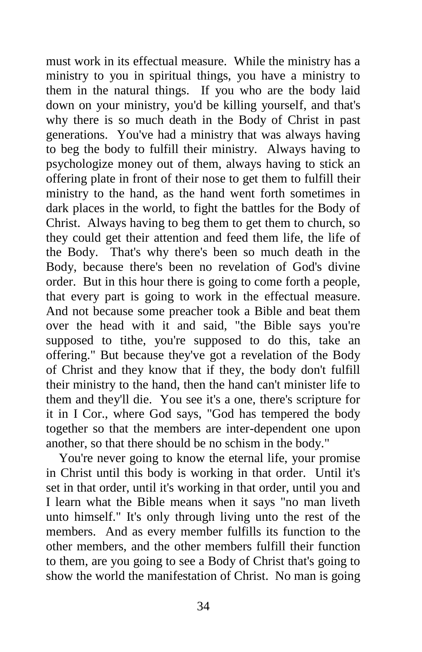must work in its effectual measure. While the ministry has a ministry to you in spiritual things, you have a ministry to them in the natural things. If you who are the body laid down on your ministry, you'd be killing yourself, and that's why there is so much death in the Body of Christ in past generations. You've had a ministry that was always having to beg the body to fulfill their ministry. Always having to psychologize money out of them, always having to stick an offering plate in front of their nose to get them to fulfill their ministry to the hand, as the hand went forth sometimes in dark places in the world, to fight the battles for the Body of Christ. Always having to beg them to get them to church, so they could get their attention and feed them life, the life of the Body. That's why there's been so much death in the Body, because there's been no revelation of God's divine order. But in this hour there is going to come forth a people, that every part is going to work in the effectual measure. And not because some preacher took a Bible and beat them over the head with it and said, "the Bible says you're supposed to tithe, you're supposed to do this, take an offering." But because they've got a revelation of the Body of Christ and they know that if they, the body don't fulfill their ministry to the hand, then the hand can't minister life to them and they'll die. You see it's a one, there's scripture for it in I Cor., where God says, "God has tempered the body together so that the members are inter-dependent one upon another, so that there should be no schism in the body."

You're never going to know the eternal life, your promise in Christ until this body is working in that order. Until it's set in that order, until it's working in that order, until you and I learn what the Bible means when it says "no man liveth unto himself." It's only through living unto the rest of the members. And as every member fulfills its function to the other members, and the other members fulfill their function to them, are you going to see a Body of Christ that's going to show the world the manifestation of Christ. No man is going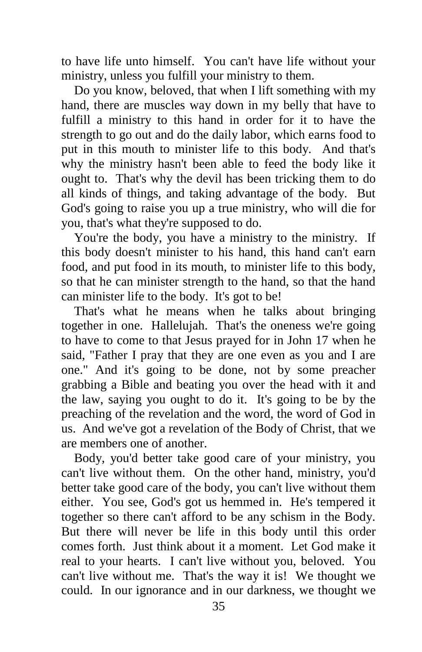to have life unto himself. You can't have life without your ministry, unless you fulfill your ministry to them.

 Do you know, beloved, that when I lift something with my hand, there are muscles way down in my belly that have to fulfill a ministry to this hand in order for it to have the strength to go out and do the daily labor, which earns food to put in this mouth to minister life to this body. And that's why the ministry hasn't been able to feed the body like it ought to. That's why the devil has been tricking them to do all kinds of things, and taking advantage of the body. But God's going to raise you up a true ministry, who will die for you, that's what they're supposed to do.

 You're the body, you have a ministry to the ministry. If this body doesn't minister to his hand, this hand can't earn food, and put food in its mouth, to minister life to this body, so that he can minister strength to the hand, so that the hand can minister life to the body. It's got to be!

 That's what he means when he talks about bringing together in one. Hallelujah. That's the oneness we're going to have to come to that Jesus prayed for in John 17 when he said, "Father I pray that they are one even as you and I are one." And it's going to be done, not by some preacher grabbing a Bible and beating you over the head with it and the law, saying you ought to do it. It's going to be by the preaching of the revelation and the word, the word of God in us. And we've got a revelation of the Body of Christ, that we are members one of another.

 Body, you'd better take good care of your ministry, you can't live without them. On the other hand, ministry, you'd better take good care of the body, you can't live without them either. You see, God's got us hemmed in. He's tempered it together so there can't afford to be any schism in the Body. But there will never be life in this body until this order comes forth. Just think about it a moment. Let God make it real to your hearts. I can't live without you, beloved. You can't live without me. That's the way it is! We thought we could. In our ignorance and in our darkness, we thought we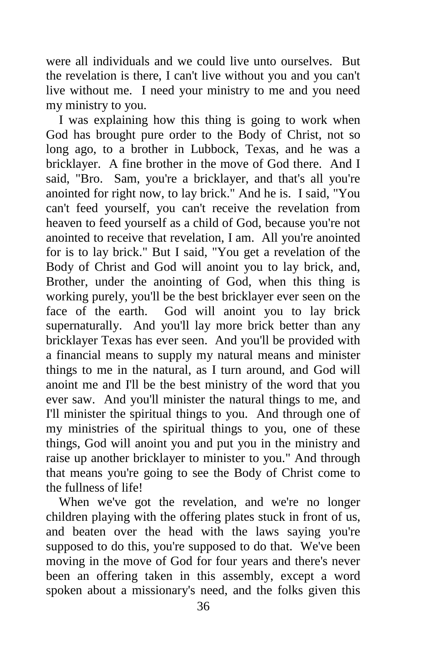were all individuals and we could live unto ourselves. But the revelation is there, I can't live without you and you can't live without me. I need your ministry to me and you need my ministry to you.

 I was explaining how this thing is going to work when God has brought pure order to the Body of Christ, not so long ago, to a brother in Lubbock, Texas, and he was a bricklayer. A fine brother in the move of God there. And I said, "Bro. Sam, you're a bricklayer, and that's all you're anointed for right now, to lay brick." And he is. I said, "You can't feed yourself, you can't receive the revelation from heaven to feed yourself as a child of God, because you're not anointed to receive that revelation, I am. All you're anointed for is to lay brick." But I said, "You get a revelation of the Body of Christ and God will anoint you to lay brick, and, Brother, under the anointing of God, when this thing is working purely, you'll be the best bricklayer ever seen on the face of the earth. God will anoint you to lay brick supernaturally. And you'll lay more brick better than any bricklayer Texas has ever seen. And you'll be provided with a financial means to supply my natural means and minister things to me in the natural, as I turn around, and God will anoint me and I'll be the best ministry of the word that you ever saw. And you'll minister the natural things to me, and I'll minister the spiritual things to you. And through one of my ministries of the spiritual things to you, one of these things, God will anoint you and put you in the ministry and raise up another bricklayer to minister to you." And through that means you're going to see the Body of Christ come to the fullness of life!

When we've got the revelation, and we're no longer children playing with the offering plates stuck in front of us, and beaten over the head with the laws saying you're supposed to do this, you're supposed to do that. We've been moving in the move of God for four years and there's never been an offering taken in this assembly, except a word spoken about a missionary's need, and the folks given this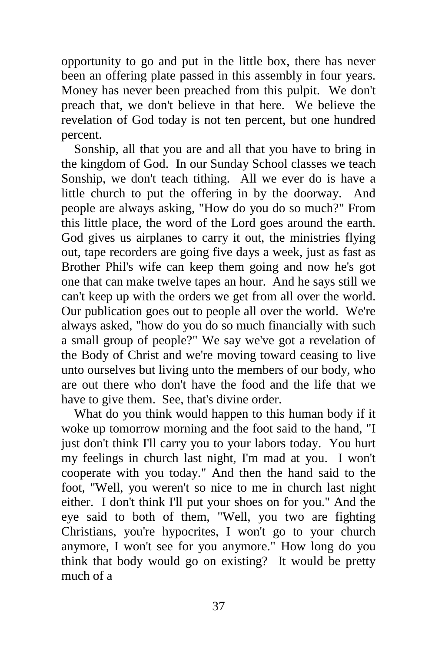opportunity to go and put in the little box, there has never been an offering plate passed in this assembly in four years. Money has never been preached from this pulpit. We don't preach that, we don't believe in that here. We believe the revelation of God today is not ten percent, but one hundred percent.

 Sonship, all that you are and all that you have to bring in the kingdom of God. In our Sunday School classes we teach Sonship, we don't teach tithing. All we ever do is have a little church to put the offering in by the doorway. And people are always asking, "How do you do so much?" From this little place, the word of the Lord goes around the earth. God gives us airplanes to carry it out, the ministries flying out, tape recorders are going five days a week, just as fast as Brother Phil's wife can keep them going and now he's got one that can make twelve tapes an hour. And he says still we can't keep up with the orders we get from all over the world. Our publication goes out to people all over the world. We're always asked, "how do you do so much financially with such a small group of people?" We say we've got a revelation of the Body of Christ and we're moving toward ceasing to live unto ourselves but living unto the members of our body, who are out there who don't have the food and the life that we have to give them. See, that's divine order.

What do you think would happen to this human body if it woke up tomorrow morning and the foot said to the hand, "I just don't think I'll carry you to your labors today. You hurt my feelings in church last night, I'm mad at you. I won't cooperate with you today." And then the hand said to the foot, "Well, you weren't so nice to me in church last night either. I don't think I'll put your shoes on for you." And the eye said to both of them, "Well, you two are fighting Christians, you're hypocrites, I won't go to your church anymore, I won't see for you anymore." How long do you think that body would go on existing? It would be pretty much of a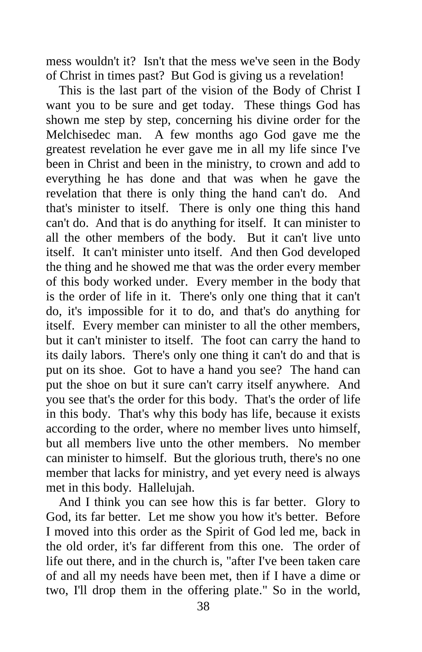mess wouldn't it? Isn't that the mess we've seen in the Body of Christ in times past? But God is giving us a revelation!

 This is the last part of the vision of the Body of Christ I want you to be sure and get today. These things God has shown me step by step, concerning his divine order for the Melchisedec man. A few months ago God gave me the greatest revelation he ever gave me in all my life since I've been in Christ and been in the ministry, to crown and add to everything he has done and that was when he gave the revelation that there is only thing the hand can't do. And that's minister to itself. There is only one thing this hand can't do. And that is do anything for itself. It can minister to all the other members of the body. But it can't live unto itself. It can't minister unto itself. And then God developed the thing and he showed me that was the order every member of this body worked under. Every member in the body that is the order of life in it. There's only one thing that it can't do, it's impossible for it to do, and that's do anything for itself. Every member can minister to all the other members, but it can't minister to itself. The foot can carry the hand to its daily labors. There's only one thing it can't do and that is put on its shoe. Got to have a hand you see? The hand can put the shoe on but it sure can't carry itself anywhere. And you see that's the order for this body. That's the order of life in this body. That's why this body has life, because it exists according to the order, where no member lives unto himself, but all members live unto the other members. No member can minister to himself. But the glorious truth, there's no one member that lacks for ministry, and yet every need is always met in this body. Hallelujah.

 And I think you can see how this is far better. Glory to God, its far better. Let me show you how it's better. Before I moved into this order as the Spirit of God led me, back in the old order, it's far different from this one. The order of life out there, and in the church is, "after I've been taken care of and all my needs have been met, then if I have a dime or two, I'll drop them in the offering plate." So in the world,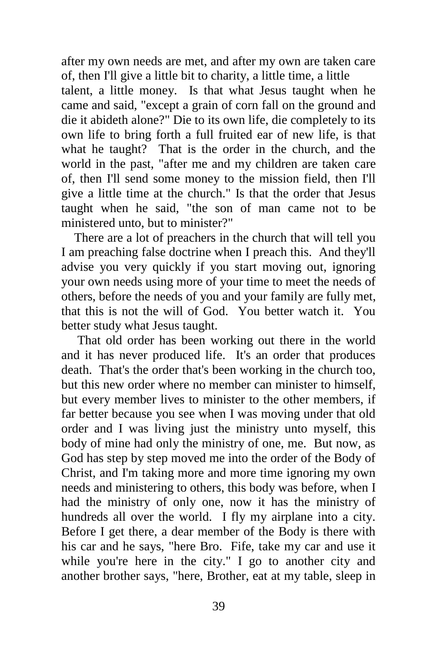after my own needs are met, and after my own are taken care of, then I'll give a little bit to charity, a little time, a little

talent, a little money. Is that what Jesus taught when he came and said, "except a grain of corn fall on the ground and die it abideth alone?" Die to its own life, die completely to its own life to bring forth a full fruited ear of new life, is that what he taught? That is the order in the church, and the world in the past, "after me and my children are taken care of, then I'll send some money to the mission field, then I'll give a little time at the church." Is that the order that Jesus taught when he said, "the son of man came not to be ministered unto, but to minister?"

 There are a lot of preachers in the church that will tell you I am preaching false doctrine when I preach this. And they'll advise you very quickly if you start moving out, ignoring your own needs using more of your time to meet the needs of others, before the needs of you and your family are fully met, that this is not the will of God. You better watch it. You better study what Jesus taught.

 That old order has been working out there in the world and it has never produced life. It's an order that produces death. That's the order that's been working in the church too, but this new order where no member can minister to himself, but every member lives to minister to the other members, if far better because you see when I was moving under that old order and I was living just the ministry unto myself, this body of mine had only the ministry of one, me. But now, as God has step by step moved me into the order of the Body of Christ, and I'm taking more and more time ignoring my own needs and ministering to others, this body was before, when I had the ministry of only one, now it has the ministry of hundreds all over the world. I fly my airplane into a city. Before I get there, a dear member of the Body is there with his car and he says, "here Bro. Fife, take my car and use it while you're here in the city." I go to another city and another brother says, "here, Brother, eat at my table, sleep in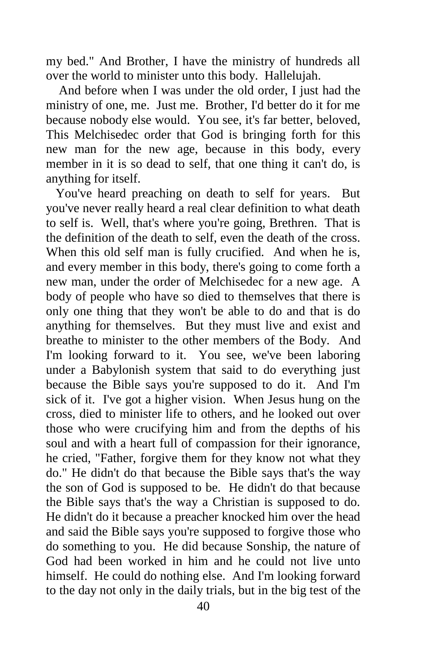my bed." And Brother, I have the ministry of hundreds all over the world to minister unto this body. Hallelujah.

 And before when I was under the old order, I just had the ministry of one, me. Just me. Brother, I'd better do it for me because nobody else would. You see, it's far better, beloved, This Melchisedec order that God is bringing forth for this new man for the new age, because in this body, every member in it is so dead to self, that one thing it can't do, is anything for itself.

 You've heard preaching on death to self for years. But you've never really heard a real clear definition to what death to self is. Well, that's where you're going, Brethren. That is the definition of the death to self, even the death of the cross. When this old self man is fully crucified. And when he is, and every member in this body, there's going to come forth a new man, under the order of Melchisedec for a new age. A body of people who have so died to themselves that there is only one thing that they won't be able to do and that is do anything for themselves. But they must live and exist and breathe to minister to the other members of the Body. And I'm looking forward to it. You see, we've been laboring under a Babylonish system that said to do everything just because the Bible says you're supposed to do it. And I'm sick of it. I've got a higher vision. When Jesus hung on the cross, died to minister life to others, and he looked out over those who were crucifying him and from the depths of his soul and with a heart full of compassion for their ignorance, he cried, "Father, forgive them for they know not what they do." He didn't do that because the Bible says that's the way the son of God is supposed to be. He didn't do that because the Bible says that's the way a Christian is supposed to do. He didn't do it because a preacher knocked him over the head and said the Bible says you're supposed to forgive those who do something to you. He did because Sonship, the nature of God had been worked in him and he could not live unto himself. He could do nothing else. And I'm looking forward to the day not only in the daily trials, but in the big test of the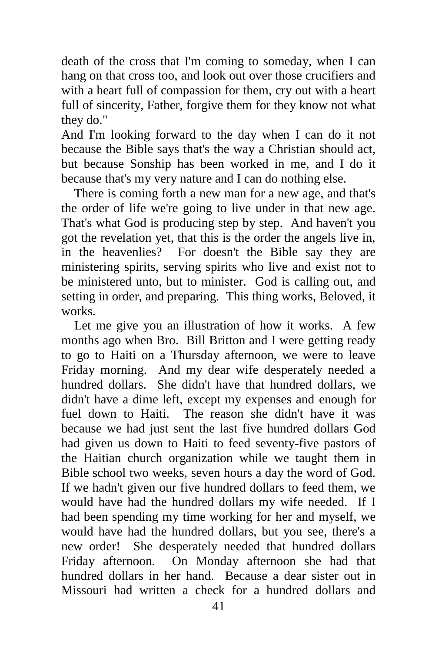death of the cross that I'm coming to someday, when I can hang on that cross too, and look out over those crucifiers and with a heart full of compassion for them, cry out with a heart full of sincerity, Father, forgive them for they know not what they do."

And I'm looking forward to the day when I can do it not because the Bible says that's the way a Christian should act, but because Sonship has been worked in me, and I do it because that's my very nature and I can do nothing else.

 There is coming forth a new man for a new age, and that's the order of life we're going to live under in that new age. That's what God is producing step by step. And haven't you got the revelation yet, that this is the order the angels live in, in the heavenlies? For doesn't the Bible say they are ministering spirits, serving spirits who live and exist not to be ministered unto, but to minister. God is calling out, and setting in order, and preparing. This thing works, Beloved, it works.

 Let me give you an illustration of how it works. A few months ago when Bro. Bill Britton and I were getting ready to go to Haiti on a Thursday afternoon, we were to leave Friday morning. And my dear wife desperately needed a hundred dollars. She didn't have that hundred dollars, we didn't have a dime left, except my expenses and enough for fuel down to Haiti. The reason she didn't have it was because we had just sent the last five hundred dollars God had given us down to Haiti to feed seventy-five pastors of the Haitian church organization while we taught them in Bible school two weeks, seven hours a day the word of God. If we hadn't given our five hundred dollars to feed them, we would have had the hundred dollars my wife needed. If I had been spending my time working for her and myself, we would have had the hundred dollars, but you see, there's a new order! She desperately needed that hundred dollars Friday afternoon. On Monday afternoon she had that hundred dollars in her hand. Because a dear sister out in Missouri had written a check for a hundred dollars and